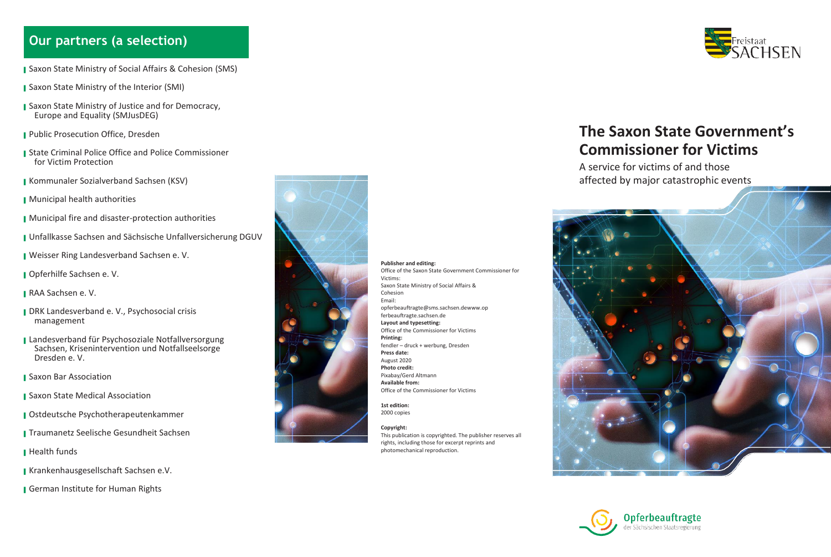### **Our partners (a selection)**

- Saxon State Ministry of Social Affairs & Cohesion (SMS)
- ▌ Saxon State Ministry of the Interior (SMI)
- Saxon State Ministry of Justice and for Democracy, Europe and Equality (SMJusDEG)
- Public Prosecution Office, Dresden
- State Criminal Police Office and Police Commissioner for Victim Protection
- ▌ Kommunaler Sozialverband Sachsen (KSV)
- **I** Municipal health authorities
- Municipal fire and disaster-protection authorities
- ▌ Unfallkasse Sachsen and Sächsische Unfallversicherung DGUV
- ▌ Weisser Ring Landesverband Sachsen e. V.
- Opferhilfe Sachsen e. V.
- RAA Sachsen e. V.
- DRK Landesverband e. V., Psychosocial crisis management
- ▌ Landesverband für Psychosoziale Notfallversorgung Sachsen, Krisenintervention und Notfallseelsorge Dresden e. V.
- Saxon Bar Association
- Saxon State Medical Association
- Ostdeutsche Psychotherapeutenkammer
- ▌ Traumanetz Seelische Gesundheit Sachsen
- ▌ Health funds
- ▌ Krankenhausgesellschaft Sachsen e.V.
- **I** German Institute for Human Rights



**Publisher and editing:** Office of the Saxon State Government Commissioner for Victims: Saxon State Ministry of Social Affairs & Cohesion Email: [opferbeauftragte@sms.sachsen.dewww.op](mailto:opferbeauftragte@sms.sachsen.de) [ferbeauftragte.sachsen.de](http://www.opferbeauftragte.sachsen.de/) **Layout and typesetting:** Office of the Commissioner for Victims **Printing:** fendler – druck + werbung, Dresden **Press date:** August 2020 **Photo credit:** Pixabay/Gerd Altmann **Available from:** Office of the Commissioner for Victims **1st edition:**

2000 copies **Copyright:**

This publication is copyrighted. The publisher reserves all rights, including those for excerpt reprints and photomechanical reproduction.



# **The Saxon State Government's Commissioner for Victims**

A service for victims of and those affected by major catastrophic events